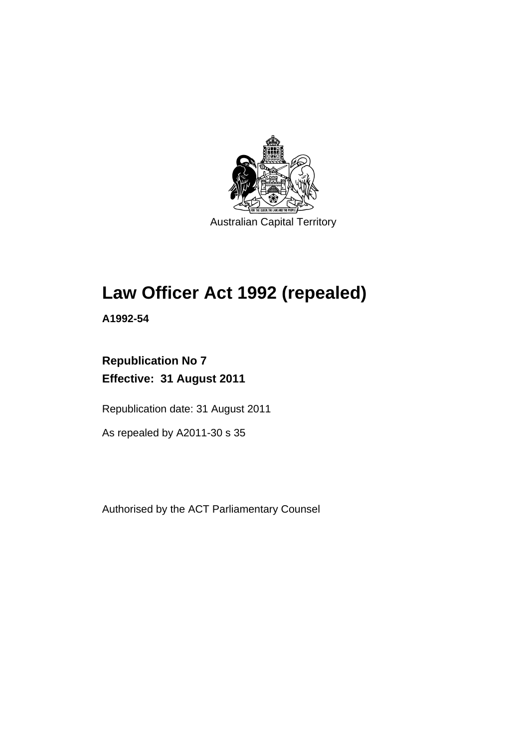

Australian Capital Territory

# **Law Officer Act 1992 (repealed)**

**A1992-54** 

# **Republication No 7 Effective: 31 August 2011**

Republication date: 31 August 2011

As repealed by A2011-30 s 35

Authorised by the ACT Parliamentary Counsel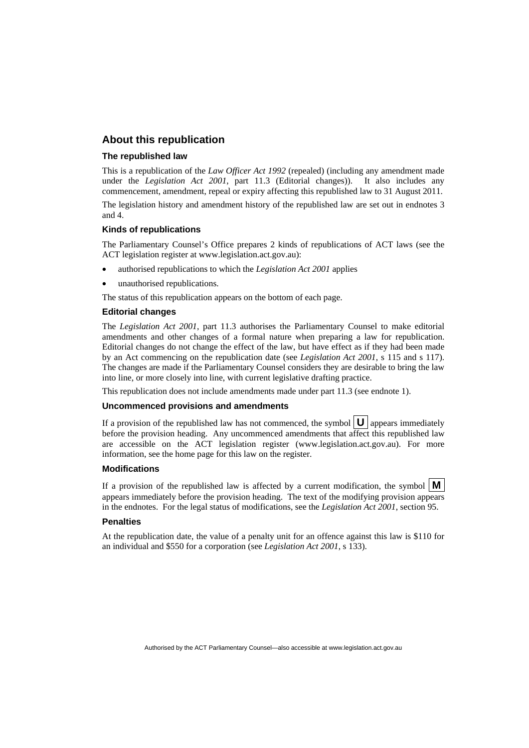#### **About this republication**

#### **The republished law**

This is a republication of the *Law Officer Act 1992* (repealed) (including any amendment made under the *Legislation Act 2001*, part 11.3 (Editorial changes)). It also includes any commencement, amendment, repeal or expiry affecting this republished law to 31 August 2011.

The legislation history and amendment history of the republished law are set out in endnotes 3 and 4.

#### **Kinds of republications**

The Parliamentary Counsel's Office prepares 2 kinds of republications of ACT laws (see the ACT legislation register at www.legislation.act.gov.au):

- authorised republications to which the *Legislation Act 2001* applies
- unauthorised republications.

The status of this republication appears on the bottom of each page.

#### **Editorial changes**

The *Legislation Act 2001*, part 11.3 authorises the Parliamentary Counsel to make editorial amendments and other changes of a formal nature when preparing a law for republication. Editorial changes do not change the effect of the law, but have effect as if they had been made by an Act commencing on the republication date (see *Legislation Act 2001*, s 115 and s 117). The changes are made if the Parliamentary Counsel considers they are desirable to bring the law into line, or more closely into line, with current legislative drafting practice.

This republication does not include amendments made under part 11.3 (see endnote 1).

#### **Uncommenced provisions and amendments**

If a provision of the republished law has not commenced, the symbol  $\mathbf{U}$  appears immediately before the provision heading. Any uncommenced amendments that affect this republished law are accessible on the ACT legislation register (www.legislation.act.gov.au). For more information, see the home page for this law on the register.

#### **Modifications**

If a provision of the republished law is affected by a current modification, the symbol  $\mathbf{M}$ appears immediately before the provision heading. The text of the modifying provision appears in the endnotes. For the legal status of modifications, see the *Legislation Act 2001*, section 95.

#### **Penalties**

At the republication date, the value of a penalty unit for an offence against this law is \$110 for an individual and \$550 for a corporation (see *Legislation Act 2001*, s 133).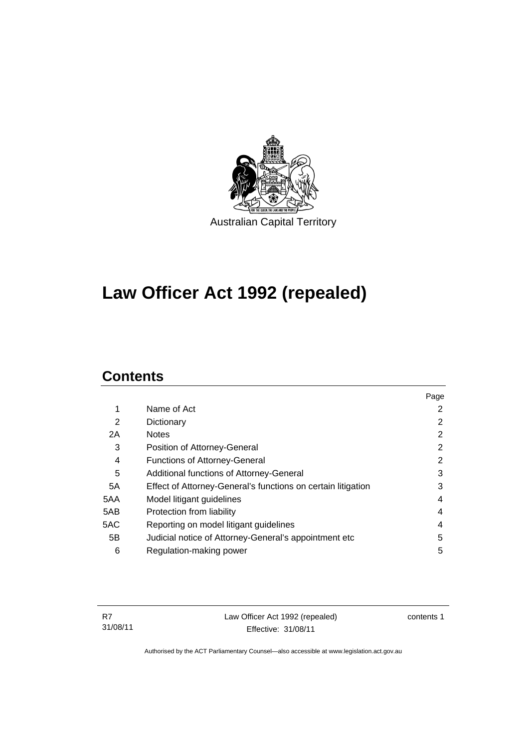

# **Law Officer Act 1992 (repealed)**

# **Contents**

|     |                                                              | Page           |
|-----|--------------------------------------------------------------|----------------|
| 1   | Name of Act                                                  | 2              |
| 2   | Dictionary                                                   | 2              |
| 2A  | <b>Notes</b>                                                 | $\overline{2}$ |
| 3   | Position of Attorney-General                                 | 2              |
| 4   | <b>Functions of Attorney-General</b>                         | 2              |
| 5   | Additional functions of Attorney-General                     | 3              |
| 5A  | Effect of Attorney-General's functions on certain litigation | 3              |
| 5AA | Model litigant guidelines                                    | 4              |
| 5AB | Protection from liability                                    | 4              |
| 5AC | Reporting on model litigant guidelines                       | 4              |
| 5B  | Judicial notice of Attorney-General's appointment etc        | 5              |
| 6   | Regulation-making power                                      | 5              |

Law Officer Act 1992 (repealed) Effective: 31/08/11

contents 1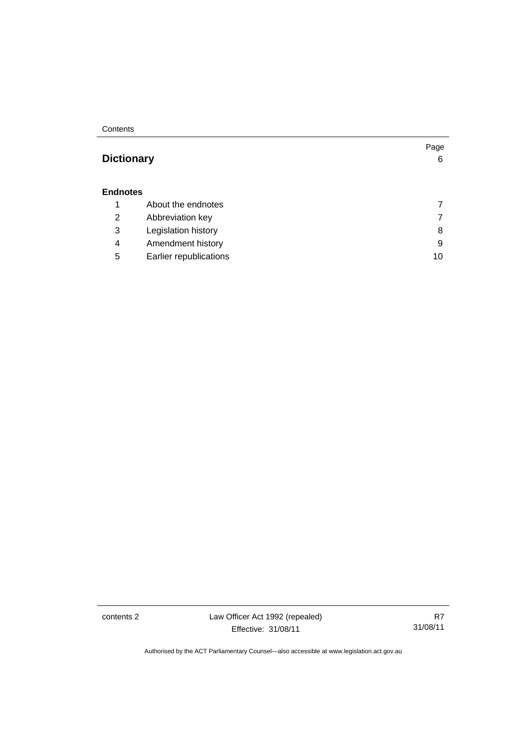**Contents** 

# **[Dictionary](#page-9-0)** [6](#page-9-0)

#### **[Endnotes](#page-10-0)**

|   | About the endnotes     |    |
|---|------------------------|----|
| 2 | Abbreviation key       |    |
| 3 | Legislation history    | 8  |
| 4 | Amendment history      | 9  |
| 5 | Earlier republications | 10 |
|   |                        |    |

contents 2 Law Officer Act 1992 (repealed) Effective: 31/08/11

R7 31/08/11

Page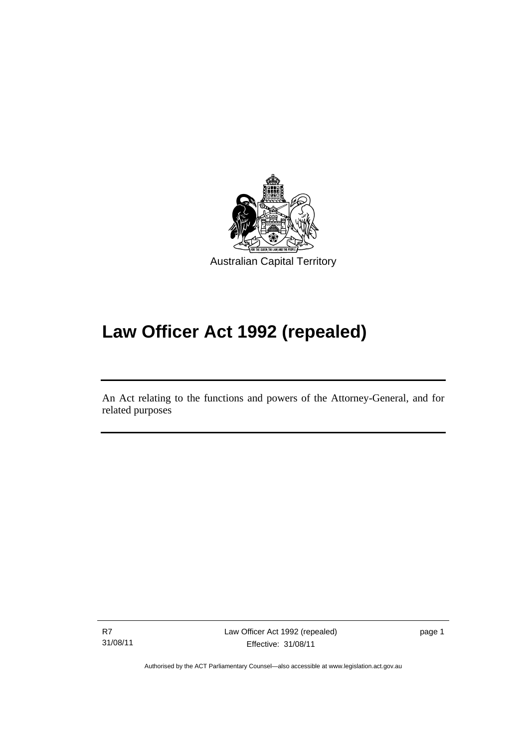

# **Law Officer Act 1992 (repealed)**

An Act relating to the functions and powers of the Attorney-General, and for related purposes

R7 31/08/11

l

Law Officer Act 1992 (repealed) Effective: 31/08/11

page 1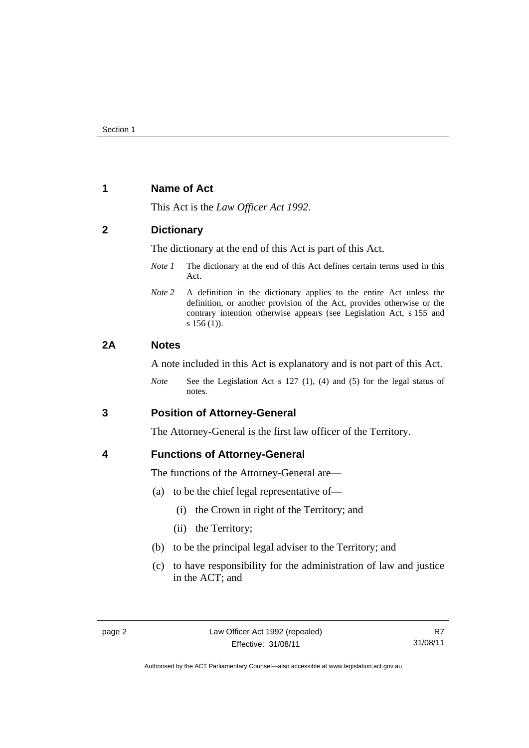## <span id="page-5-0"></span>**1 Name of Act**

This Act is the *Law Officer Act 1992.*

## <span id="page-5-1"></span>**2 Dictionary**

The dictionary at the end of this Act is part of this Act.

- *Note 1* The dictionary at the end of this Act defines certain terms used in this Act.
- *Note 2* A definition in the dictionary applies to the entire Act unless the definition, or another provision of the Act, provides otherwise or the contrary intention otherwise appears (see Legislation Act, s 155 and s 156 (1)).

# <span id="page-5-2"></span>**2A Notes**

A note included in this Act is explanatory and is not part of this Act.

*Note* See the Legislation Act s 127 (1), (4) and (5) for the legal status of notes.

<span id="page-5-3"></span>**3 Position of Attorney-General** 

The Attorney-General is the first law officer of the Territory.

## <span id="page-5-4"></span>**4 Functions of Attorney-General**

The functions of the Attorney-General are—

- (a) to be the chief legal representative of—
	- (i) the Crown in right of the Territory; and
	- (ii) the Territory;
- (b) to be the principal legal adviser to the Territory; and
- (c) to have responsibility for the administration of law and justice in the ACT; and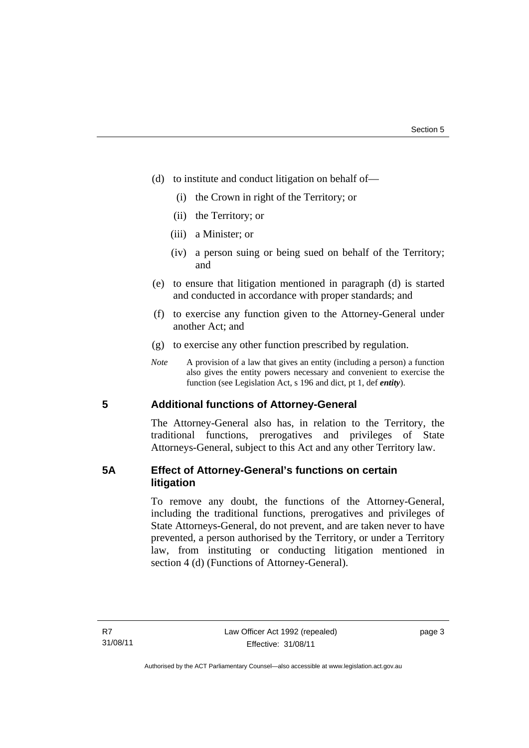- (d) to institute and conduct litigation on behalf of—
	- (i) the Crown in right of the Territory; or
	- (ii) the Territory; or
	- (iii) a Minister; or
	- (iv) a person suing or being sued on behalf of the Territory; and
- (e) to ensure that litigation mentioned in paragraph (d) is started and conducted in accordance with proper standards; and
- (f) to exercise any function given to the Attorney-General under another Act; and
- (g) to exercise any other function prescribed by regulation.
- *Note* A provision of a law that gives an entity (including a person) a function also gives the entity powers necessary and convenient to exercise the function (see Legislation Act, s 196 and dict, pt 1, def *entity*).

## <span id="page-6-0"></span>**5 Additional functions of Attorney-General**

The Attorney-General also has, in relation to the Territory, the traditional functions, prerogatives and privileges of State Attorneys-General, subject to this Act and any other Territory law.

# <span id="page-6-1"></span>**5A Effect of Attorney-General's functions on certain litigation**

To remove any doubt, the functions of the Attorney-General, including the traditional functions, prerogatives and privileges of State Attorneys-General, do not prevent, and are taken never to have prevented, a person authorised by the Territory, or under a Territory law, from instituting or conducting litigation mentioned in section 4 (d) (Functions of Attorney-General).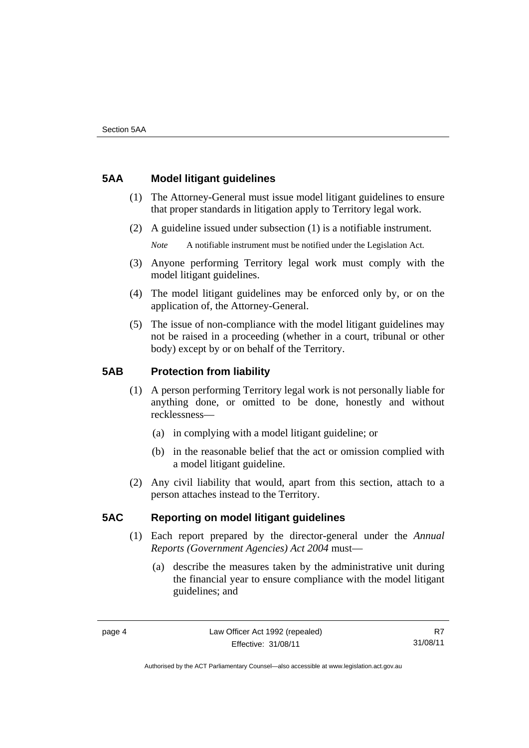# <span id="page-7-0"></span>**5AA Model litigant guidelines**

- (1) The Attorney-General must issue model litigant guidelines to ensure that proper standards in litigation apply to Territory legal work.
- (2) A guideline issued under subsection (1) is a notifiable instrument.

*Note* A notifiable instrument must be notified under the Legislation Act.

- (3) Anyone performing Territory legal work must comply with the model litigant guidelines.
- (4) The model litigant guidelines may be enforced only by, or on the application of, the Attorney-General.
- (5) The issue of non-compliance with the model litigant guidelines may not be raised in a proceeding (whether in a court, tribunal or other body) except by or on behalf of the Territory.

# <span id="page-7-1"></span>**5AB Protection from liability**

- (1) A person performing Territory legal work is not personally liable for anything done, or omitted to be done, honestly and without recklessness—
	- (a) in complying with a model litigant guideline; or
	- (b) in the reasonable belief that the act or omission complied with a model litigant guideline.
- (2) Any civil liability that would, apart from this section, attach to a person attaches instead to the Territory.

# <span id="page-7-2"></span>**5AC Reporting on model litigant guidelines**

- (1) Each report prepared by the director-general under the *Annual Reports (Government Agencies) Act 2004* must—
	- (a) describe the measures taken by the administrative unit during the financial year to ensure compliance with the model litigant guidelines; and

R7 31/08/11

Authorised by the ACT Parliamentary Counsel—also accessible at www.legislation.act.gov.au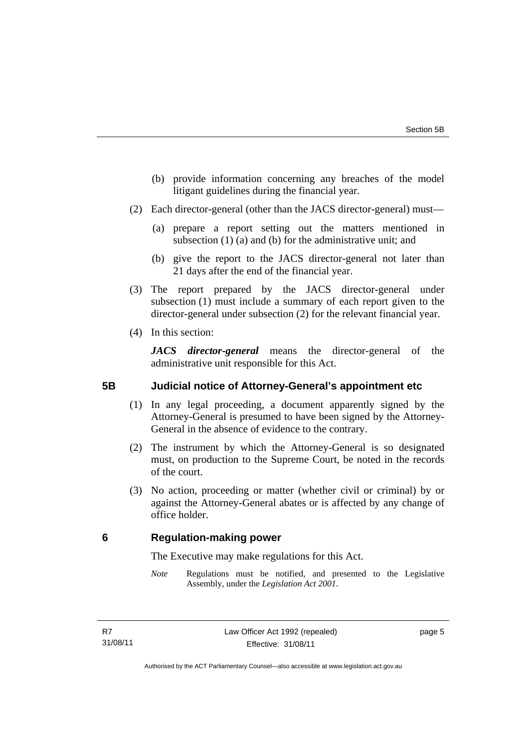- (b) provide information concerning any breaches of the model litigant guidelines during the financial year.
- (2) Each director-general (other than the JACS director-general) must—
	- (a) prepare a report setting out the matters mentioned in subsection (1) (a) and (b) for the administrative unit; and
	- (b) give the report to the JACS director-general not later than 21 days after the end of the financial year.
- (3) The report prepared by the JACS director-general under subsection (1) must include a summary of each report given to the director-general under subsection (2) for the relevant financial year.
- (4) In this section:

*JACS director-general* means the director-general of the administrative unit responsible for this Act.

## <span id="page-8-0"></span>**5B Judicial notice of Attorney-General's appointment etc**

- (1) In any legal proceeding, a document apparently signed by the Attorney-General is presumed to have been signed by the Attorney-General in the absence of evidence to the contrary.
- (2) The instrument by which the Attorney-General is so designated must, on production to the Supreme Court, be noted in the records of the court.
- (3) No action, proceeding or matter (whether civil or criminal) by or against the Attorney-General abates or is affected by any change of office holder.

## <span id="page-8-1"></span>**6 Regulation-making power**

The Executive may make regulations for this Act.

*Note* Regulations must be notified, and presented to the Legislative Assembly, under the *Legislation Act 2001*.

page 5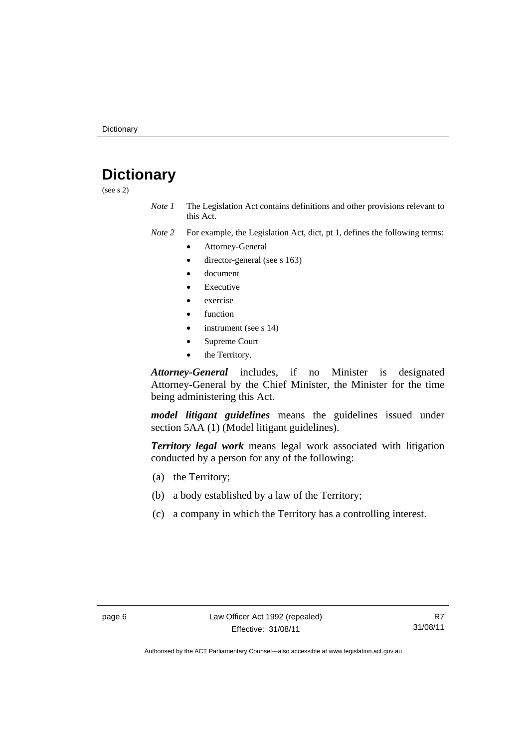# <span id="page-9-0"></span>**Dictionary**

(see s 2)

*Note 1* The Legislation Act contains definitions and other provisions relevant to this Act.

*Note 2* For example, the Legislation Act, dict, pt 1, defines the following terms:

- Attorney-General
	- director-general (see s 163)
- document
- Executive
- exercise
- function
- instrument (see s 14)
- Supreme Court
- the Territory.

*Attorney-General* includes, if no Minister is designated Attorney-General by the Chief Minister, the Minister for the time being administering this Act.

*model litigant guidelines* means the guidelines issued under section 5AA (1) (Model litigant guidelines).

*Territory legal work* means legal work associated with litigation conducted by a person for any of the following:

- (a) the Territory;
- (b) a body established by a law of the Territory;
- (c) a company in which the Territory has a controlling interest.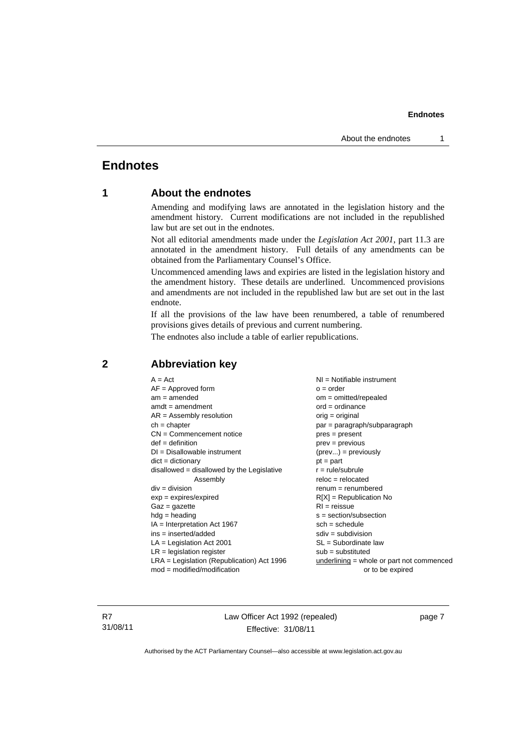# <span id="page-10-0"></span>**Endnotes**

# **1 About the endnotes**

Amending and modifying laws are annotated in the legislation history and the amendment history. Current modifications are not included in the republished law but are set out in the endnotes.

Not all editorial amendments made under the *Legislation Act 2001*, part 11.3 are annotated in the amendment history. Full details of any amendments can be obtained from the Parliamentary Counsel's Office.

Uncommenced amending laws and expiries are listed in the legislation history and the amendment history. These details are underlined. Uncommenced provisions and amendments are not included in the republished law but are set out in the last endnote.

If all the provisions of the law have been renumbered, a table of renumbered provisions gives details of previous and current numbering.

The endnotes also include a table of earlier republications.

| $A = Act$                                    | $NI = Notifiable$ instrument              |
|----------------------------------------------|-------------------------------------------|
| $AF =$ Approved form                         | $o = order$                               |
| $am = amended$                               | $om = omitted/repealed$                   |
| $amdt = amendment$                           | $ord = ordinance$                         |
| $AR = Assembly resolution$                   | $orig = original$                         |
| $ch = chapter$                               | $par = paragraph/subparagraph$            |
| $CN =$ Commencement notice                   | $pres = present$                          |
| $def = definition$                           | $prev = previous$                         |
| $DI = Disallowable instrument$               | $(\text{prev}) = \text{previously}$       |
| $dict = dictionary$                          | $pt = part$                               |
| $disallowed = disallowed by the Legislative$ | $r = rule/subrule$                        |
| Assembly                                     | $reloc = relocated$                       |
| $div = division$                             | $remum = renumbered$                      |
| $exp = expires/expired$                      | $R[X]$ = Republication No                 |
| $Gaz = gazette$                              | $RI = reissue$                            |
| $hdg = heading$                              | $s = section/subsection$                  |
| $IA = Interpretation Act 1967$               | $sch = schedule$                          |
| $ins = inserted/added$                       | $sdiv = subdivision$                      |
| $LA =$ Legislation Act 2001                  | $SL = Subordinate$ law                    |
| $LR =$ legislation register                  | $sub =$ substituted                       |
| $LRA =$ Legislation (Republication) Act 1996 | underlining = whole or part not commenced |
| $mod = modified/modification$                | or to be expired                          |
|                                              |                                           |

#### <span id="page-10-2"></span>**2 Abbreviation key**

R7 31/08/11 Law Officer Act 1992 (repealed) Effective: 31/08/11

page 7

<span id="page-10-1"></span>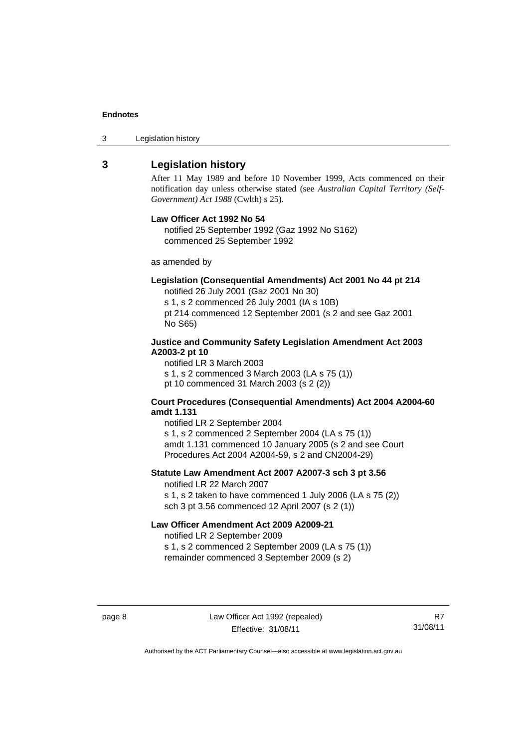3 Legislation history

#### <span id="page-11-0"></span>**3 Legislation history**

After 11 May 1989 and before 10 November 1999, Acts commenced on their notification day unless otherwise stated (see *Australian Capital Territory (Self-Government) Act 1988* (Cwlth) s 25).

#### **Law Officer Act 1992 No 54**

notified 25 September 1992 (Gaz 1992 No S162) commenced 25 September 1992

as amended by

#### **Legislation (Consequential Amendments) Act 2001 No 44 pt 214**

notified 26 July 2001 (Gaz 2001 No 30)

s 1, s 2 commenced 26 July 2001 (IA s 10B) pt 214 commenced 12 September 2001 (s 2 and see Gaz 2001 No S65)

#### **Justice and Community Safety Legislation Amendment Act 2003 A2003-2 pt 10**

notified LR 3 March 2003 s 1, s 2 commenced 3 March 2003 (LA s 75 (1)) pt 10 commenced 31 March 2003 (s 2 (2))

#### **Court Procedures (Consequential Amendments) Act 2004 A2004-60 amdt 1.131**

notified LR 2 September 2004 s 1, s 2 commenced 2 September 2004 (LA s 75 (1)) amdt 1.131 commenced 10 January 2005 (s 2 and see Court Procedures Act 2004 A2004-59, s 2 and CN2004-29)

#### **Statute Law Amendment Act 2007 A2007-3 sch 3 pt 3.56**

notified LR 22 March 2007 s 1, s 2 taken to have commenced 1 July 2006 (LA s 75 (2)) sch 3 pt 3.56 commenced 12 April 2007 (s 2 (1))

#### **Law Officer Amendment Act 2009 A2009-21**

notified LR 2 September 2009 s 1, s 2 commenced 2 September 2009 (LA s 75 (1)) remainder commenced 3 September 2009 (s 2)

R7 31/08/11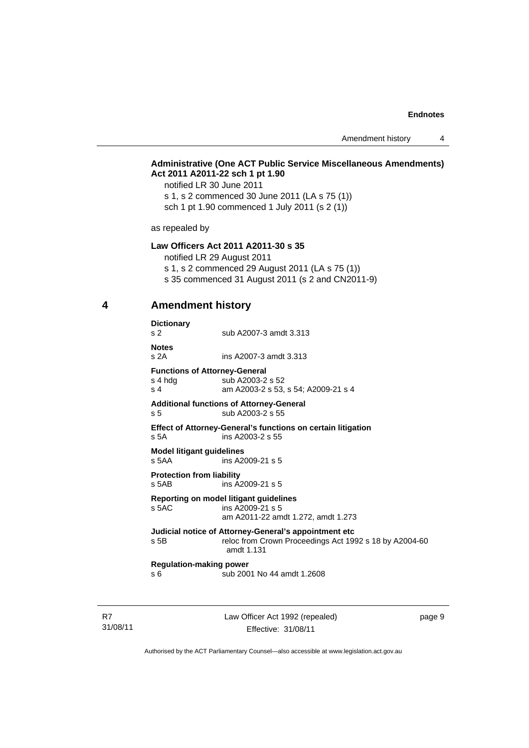Amendment history 4

#### **Administrative (One ACT Public Service Miscellaneous Amendments) Act 2011 A2011-22 sch 1 pt 1.90**

notified LR 30 June 2011 s 1, s 2 commenced 30 June 2011 (LA s 75 (1)) sch 1 pt 1.90 commenced 1 July 2011 (s 2 (1))

as repealed by

#### **Law Officers Act 2011 A2011-30 s 35**

notified LR 29 August 2011

s 1, s 2 commenced 29 August 2011 (LA s 75 (1))

s 35 commenced 31 August 2011 (s 2 and CN2011-9)

<span id="page-12-0"></span>

# **4 Amendment history**

| <b>Dictionary</b><br>s <sub>2</sub>                    | sub A2007-3 amdt 3.313                                                                                                        |
|--------------------------------------------------------|-------------------------------------------------------------------------------------------------------------------------------|
| <b>Notes</b><br>s2A                                    | ins A2007-3 amdt 3.313                                                                                                        |
| <b>Functions of Attorney-General</b><br>s 4 hdg<br>s 4 | sub A2003-2 s 52<br>am A2003-2 s 53, s 54; A2009-21 s 4                                                                       |
| s 5                                                    | <b>Additional functions of Attorney-General</b><br>sub A2003-2 s 55                                                           |
| s <sub>5A</sub>                                        | <b>Effect of Attorney-General's functions on certain litigation</b><br>ins $A2003-2$ s 55                                     |
| <b>Model litigant guidelines</b><br>s 5AA              | ins A2009-21 s 5                                                                                                              |
| <b>Protection from liability</b><br>s 5AB              | ins $A2009-21$ s 5                                                                                                            |
| s 5AC                                                  | Reporting on model litigant guidelines<br>ins A2009-21 s 5<br>am A2011-22 amdt 1.272, amdt 1.273                              |
| s 5B                                                   | Judicial notice of Attorney-General's appointment etc<br>reloc from Crown Proceedings Act 1992 s 18 by A2004-60<br>amdt 1.131 |
| <b>Regulation-making power</b><br>s 6                  | sub 2001 No 44 amdt 1.2608                                                                                                    |

R7 31/08/11 Law Officer Act 1992 (repealed) Effective: 31/08/11

page 9